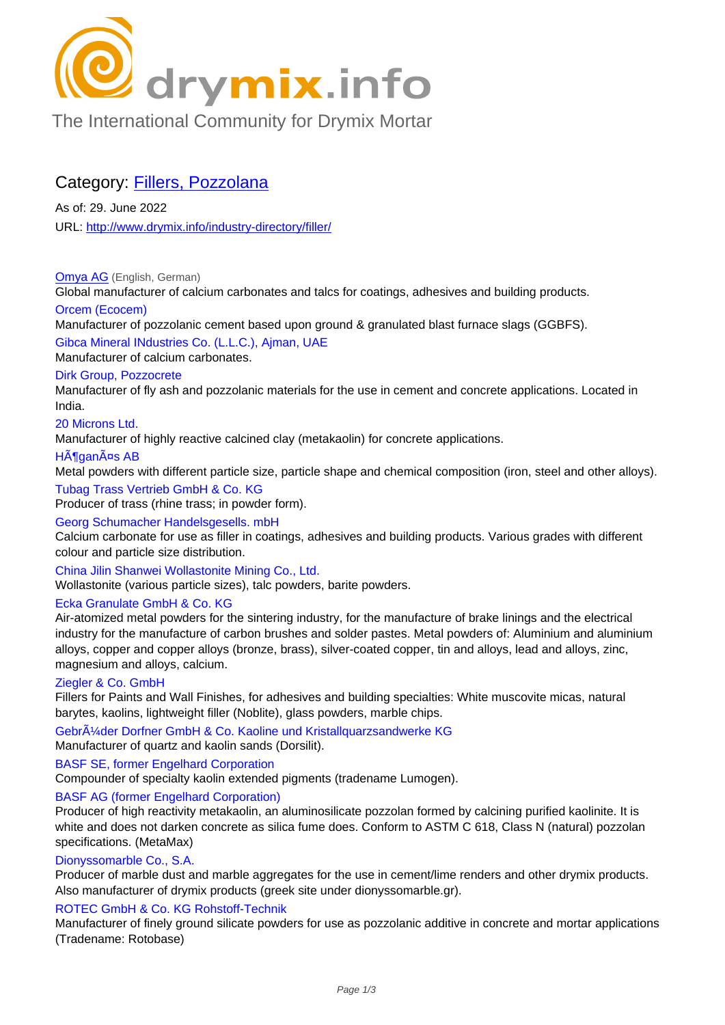

[The International Community for Drymix Mortar](/industry-directory/)

## Category: Fillers, Pozzolana

As of: 29. June 2022 URL: http://www.drymix.info/industry-directory/filler/

Omya AG (English, German) Glob[al manufacturer of calcium carbonates and talc](http://www.drymix.info/industry-directory/filler/)s for coatings, adhesives and building products.

## Orcem (Ecocem)

Manufacturer of pozzolanic cement based upon ground & granulated blast furnace slags (GGBFS).

[Gibca Min](http://www.drymix.info/industry-directory/redir.php?lid=3881)eral INdustries Co. (L.L.C.), Ajman, UAE

## Manufacturer of calcium carbonates.

## Dirk Group, Pozzocrete

Manufacturer of fly ash and pozzolanic materials for the use in cement and concrete applications. Located in India.

#### 20 Microns Ltd.

Manufacturer of highly reactive calcined clay (metakaolin) for concrete applications.

#### HĶganĤs AB

Metal powders with different particle size, particle shape and chemical composition (iron, steel and other alloys).

#### Tubag Trass Vertrieb GmbH & Co. KG

Producer of trass (rhine trass; in powder form).

#### Georg Schumacher Handelsgesells. mbH

Calcium carbonate for use as filler in coatings, adhesives and building products. Various grades with different colour and particle size distribution.

China Jilin Shanwei Wollastonite Mining Co., Ltd. Wollastonite (various particle sizes), talc powders, barite powders.

## Ecka Granulate GmbH & Co. KG

Air-atomized metal powders for the sintering industry, for the manufacture of brake linings and the electrical industry for the manufacture of carbon brushes and solder pastes. Metal powders of: Aluminium and aluminium alloys, copper and copper alloys (bronze, brass), silver-coated copper, tin and alloys, lead and alloys, zinc, magnesium and alloys, calcium.

## Ziegler & Co. GmbH

Fillers for Paints and Wall Finishes, for adhesives and building specialties: White muscovite micas, natural barytes, kaolins, lightweight filler (Noblite), glass powders, marble chips.

Gebr $\tilde{A}/4$ der Dorfner GmbH & Co. Kaoline und Kristallquarzsandwerke KG Manufacturer of quartz and kaolin sands (Dorsilit).

## BASF SE, former Engelhard Corporation

Compounder of specialty kaolin extended pigments (tradename Lumogen).

## BASF AG (former Engelhard Corporation)

Producer of high reactivity metakaolin, an aluminosilicate pozzolan formed by calcining purified kaolinite. It is white and does not darken concrete as silica fume does. Conform to ASTM C 618, Class N (natural) pozzolan specifications. (MetaMax)

#### Dionyssomarble Co., S.A.

Producer of marble dust and marble aggregates for the use in cement/lime renders and other drymix products. Also manufacturer of drymix products (greek site under dionyssomarble.gr).

## ROTEC GmbH & Co. KG Rohstoff-Technik

Manufacturer of finely ground silicate powders for use as pozzolanic additive in concrete and mortar applications (Tradename: Rotobase)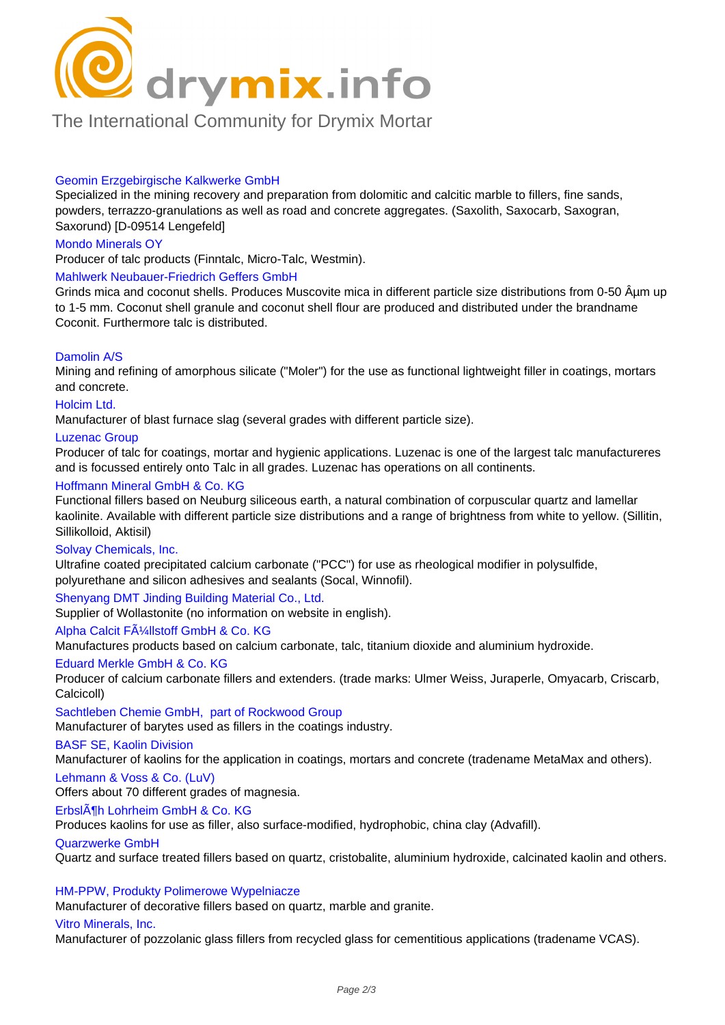

## [The International Community for Drymix Mortar](/industry-directory/)

#### Geomin Erzgebirgische Kalkwerke GmbH

Specialized in the mining recovery and preparation from dolomitic and calcitic marble to fillers, fine sands, powders, terrazzo-granulations as well as road and concrete aggregates. (Saxolith, Saxocarb, Saxogran, Saxorund) [D-09514 Lengefeld]

#### Mondo Minerals OY

Producer of talc products (Finntalc, Micro-Talc, Westmin).

#### Mahlwerk Neubauer-Friedrich Geffers GmbH

Grinds mica and coconut shells. Produces Muscovite mica in different particle size distributions from 0-50 Aum up to 1-5 mm. Coconut shell granule and coconut shell flour are produced and distributed under the brandname Coconit. Furthermore talc is distributed.

#### Damolin A/S

Mining and refining of amorphous silicate ("Moler") for the use as functional lightweight filler in coatings, mortars and concrete.

#### Holcim Ltd.

Manufacturer of blast furnace slag (several grades with different particle size).

#### Luzenac Group

Producer of talc for coatings, mortar and hygienic applications. Luzenac is one of the largest talc manufactureres and is focussed entirely onto Talc in all grades. Luzenac has operations on all continents.

#### Hoffmann Mineral GmbH & Co. KG

Functional fillers based on Neuburg siliceous earth, a natural combination of corpuscular quartz and lamellar kaolinite. Available with different particle size distributions and a range of brightness from white to yellow. (Sillitin, Sillikolloid, Aktisil)

#### Solvay Chemicals, Inc.

Ultrafine coated precipitated calcium carbonate ("PCC") for use as rheological modifier in polysulfide, polyurethane and silicon adhesives and sealants (Socal, Winnofil).

#### Shenyang DMT Jinding Building Material Co., Ltd.

Supplier of Wollastonite (no information on website in english).

#### Alpha Calcit FA<sup>1</sup>/<sub>4</sub>llstoff GmbH & Co. KG

Manufactures products based on calcium carbonate, talc, titanium dioxide and aluminium hydroxide.

#### Eduard Merkle GmbH & Co. KG

Producer of calcium carbonate fillers and extenders. (trade marks: Ulmer Weiss, Juraperle, Omyacarb, Criscarb, Calcicoll)

Sachtleben Chemie GmbH, part of Rockwood Group

Manufacturer of barytes used as fillers in the coatings industry.

#### BASF SE, Kaolin Division

Manufacturer of kaolins for the application in coatings, mortars and concrete (tradename MetaMax and others).

#### Lehmann & Voss & Co. (LuV)

Offers about 70 different grades of magnesia.

#### ErbslĶh Lohrheim GmbH & Co. KG

Produces kaolins for use as filler, also surface-modified, hydrophobic, china clay (Advafill).

#### Quarzwerke GmbH

Quartz and surface treated fillers based on quartz, cristobalite, aluminium hydroxide, calcinated kaolin and others.

#### HM-PPW, Produkty Polimerowe Wypelniacze

Manufacturer of decorative fillers based on quartz, marble and granite.

#### Vitro Minerals, Inc.

Manufacturer of pozzolanic glass fillers from recycled glass for cementitious applications (tradename VCAS).